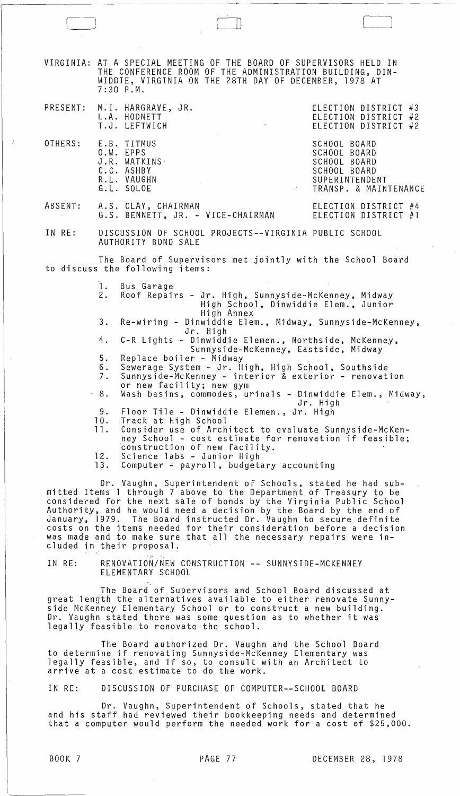$\Box$ VIRGINIA: AT A SPECIAL MEETING OF THE BOARD OF SUPERVISORS HELD IN THE CONFERENCE ROOM OF THE ADMINISTRATION BUILDING, DIN-WIDDIE, VIRGINIA ON THE 28TH DAY OF DECEMBER, 1978 AT 7:30 P.M. PRESENT: M.I. HARGRAVE, JR. ELECTION DISTRICT #3 ELECTION DISTRICT #2 ELECTION DISTRICT #2 OTHERS: ABSENT: IN RE: L.A. HODNETT T.J. LEFTWICH E.B. TITMUS O.W. EPPS J.R. WATKINS C.C. ASHBY R.L. VAUGHN G.L. SOLOE A.S. CLAY, CHAIRMAN G.S. BENNETT, JR. - VICE-CHAIRMAN SCHOOL BOARD SCHOOL BOARD SCHOOL BOARD SCHOOL BOARD SUPERINTENDENT TRANSP. & MAINTENANCE ELECTION DISTRICT #4 ELECTION DISTRICT #1 DISCUSSION OF SCHOOL PROJECTS--VIRGINIA PUBLIC SCHOOL AUTHORITY BOND SALE The Board of Supervisors met jointly with the School Board to discuss the following items: 1. Bus Garage Roof Repairs - Jr. High, Sunnyside-McKenney, Midway High School, Dinwiddie Elem., Junior 3. Re-wiring - Dinwiddie Elem., Midway, Sunnyside-McKenney, Jr. High 4. C-R Lights - Dinwiddie Elemen., Northside, McKenney, Sunnyside-McKenney, Eastside, Midway 5. Replace boiler - Midway 6. Sewerage System - Jr. High, High School, Southside 7. Sunnyside-McKenney - interior & exterior - renovation or new facility; new gym 8. Wash basins, commodes, urinals - Dinwiddie Elem., Midway, Jr. High 9. Floor Tile - Dinwiddie Elemen., Jr. High 10. Track at High School 10. Track at High School<br>11. Consider use of Architect to evaluate Sunnyside-McKenney School - cost estimate for renovation if feasible; construction of new facility. 12. Science labs - Junior High<br>13. Computer - payroll, budget Computer - payroll, budgetary accounting Dr. Vaughn, Superintendent of Schools, stated he had submitted Items 1 through 7 above to the Department of Treasury to be considered for the next sale of bonds by the Virginia Public School Authority, and he would need a decision by the Board by the end of January, 1979. The Board instructed Dr. Vaughn to secure definite costs on the items needed for their consideration before a decision was made and to make sure that all the necessary repairs were included in their proposal.

IN RE: RENOVATION/NEW CONSTRUCTION -- SUNNYSIDE-MCKENNEY ELEMENTARY S'CHOOL

The Board of Supervisors and School Board discussed at great length the alternatives available to either renovate Sunnyside McKenney Elementary School or to construct a new building. Dr. Vaughn stated there was some question as to whether it was legally feasible to renovate the school.

The Board authorized Dr. Vaughn and the School Board to determine if renovating Sunnyside-McKenney Elementary was legally feasible, and if so, to consult with an Architect to arrive at a cost estimate to do the work.

IN RE: DISCUSSION OF PURCHASE OF COMPUTER--SCHOOL BOARD

Dr. Vaughn, Superintendent of Schools, stated that he and his staff had reviewed their bookkeeping needs and determined that a computer would perform the needed work for a cost of \$25,000.